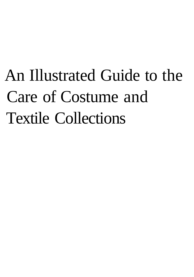# An Illustrated Guide to the Care of Costume and Textile Collections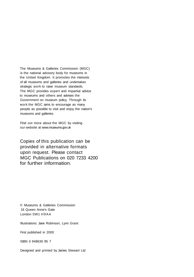The Museums & Galleries Commission (MGC) is the national advisory body for museums in the United Kingdom. It promotes the interests of all museums and galleries and undertakes strategic work to raise museum standards. The MGC provides expert and impartial advice to museums and others and advises the Government on museum policy. Through its work the MGC aims to encourage as many people as possible to visit and enjoy the nation's museums and galleries.

Find out more about the MGC by visiting our website at www.museums.gov.uk

Copies of this publication can be provided in alternative formats upon request. Please contact MGC Publications on 020 7233 4200 for further information.

© Museums & Galleries Commission 16 Queen Anne's Gate London SW1 H9AA

Illustrations: Jane Robinson, Lynn Grant

First published in 2000

ISBN 0 948630 95 7

Designed and printed by James Stewart Ltd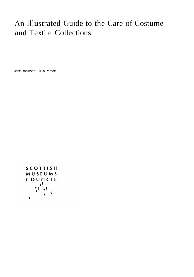## An Illustrated Guide to the Care of Costume and Textile Collections

Jane Robinson, Tuula Pardoe

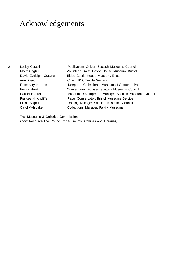### Acknowledgements

- 
- Ann French Chair, UKIC Textile Section

2 Lesley Castell **Publications Officer, Scottish Museums Council** Molly Coghill Volunteer, Blaise Castle House Museum, Bristol David Eveleigh, Curator Blaise Castle House Museum, Bristol Rosemary Harden Keeper of Collections, Museum of Costume Bath Emma Hook Conservation Adviser, Scottish Museums Council Rachel Hunter Museum Development Manager, Scottish Museums Council Frances Hinchcliffe **Paper Conservator, Bristol Museums Service** Elaine Kilgour **Training Manager, Scottish Museums Council** Carol VVhittaker Collections Manager, Falkirk Museums

The Museums & Galleries Commission (now Resource:The Council for Museums, Archives and Libraries)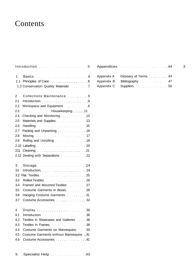### Contents

|                | Introduction March 1999 and the series of 5 |  |
|----------------|---------------------------------------------|--|
| 1              | Basics 6                                    |  |
| 1.1            | Principles of Care 6                        |  |
|                | 1.2 Conservation Quality Materials 7        |  |
| $\overline{2}$ | Collections Maintenance 9                   |  |
| 2.1            |                                             |  |
| 2.2            | Workspace and Equipment 9                   |  |
| 2.3            | Housekeeping11                              |  |
| 2.4            | Checking and Monitoring 2001 13             |  |
| 2.5            | Materials and Supplies <b>Materials</b> 13  |  |
| 2.6            |                                             |  |
| 2.7            | Packing and Unpacking <b>Example 20</b> 16  |  |
| 2.8            | Moving Morrison (17                         |  |
| 2.9            |                                             |  |
| 2.10           | Labelling 20                                |  |
| 2.11           | Cleaning 21                                 |  |
|                | 2.12 Dealing with Separations 22            |  |
| 3              | Storage 24                                  |  |
| 3.1            | Introduction 24                             |  |
| 3.2            | Flat Textiles 25                            |  |
| 3.3            | Rolled Textiles 26                          |  |
| 3.4            | Framed and Mounted Textiles 27              |  |
| 3.5            | Costume Garments in Boxes 28                |  |
| 3.6            | Hanging Costume Garments 31                 |  |
| 3.7            | Costume Accessories 32                      |  |
| 4              | Display 36                                  |  |
| 4.1            | Introduction Material Communication 36      |  |
| 4.2            | Textiles in Showcases and Galleries 36      |  |
| 4.3            | Textiles in Frames Manual Communication 38  |  |
| 4.4            | Costume Garments on Mannequins 39           |  |
| 4.5            | Costume Garments without Mannequins 41      |  |
| 4.6            | Costume Accessories 2008. All               |  |
|                |                                             |  |

| Appendices 44                                                                                                  | 3 |
|----------------------------------------------------------------------------------------------------------------|---|
| Appendix A Glossary of Terms 44                                                                                |   |
| Appendix B Bibliography 1997 - 1997 - 1998 - 1999 - 1999 - 1999 - 1999 - 1999 - 1999 - 1999 - 1999 - 1999 - 19 |   |
|                                                                                                                |   |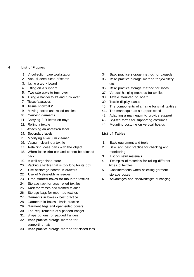- 4 List of Figures
	- 1. A collection care workstation
	- 2. Annual deep clean of stores
	- 3. Using a work board
	- 4. Lifting on a support
	- 5. Two safe ways to turn over
	- 6. Using a hanger to lift and turn over
	- 7. Tissue 'sausages'
	- 8. Tissue 'snowballs'
	- 9. Moving boxes and rolled textiles
	- 10. Carrying garments
	- 11. Carrying 3-D items on trays
	- 12. Rolling a textile
	- 13. Attaching an accession label
	- 14. Secondary labels
	- 15. Modifying a vacuum cleaner
	- 16. Vacuum cleaning a textile
	- 17. Retaining loose parts with the object
	- 18. When loose trim can and cannot be stitched back
	- 19. A well-organised store
	- 20. Packing a textile that is too long for its box
	- 21. Use of storage boards in drawers
	- 22. Use of Melinex/Mylar sleeves
	- 23. Drop-fronted boxes for mounted textiles
	- 24. Storage rack for large rolled textiles
	- 25. Rack for frames and framed textiles
	- 26. Storage bags for mounted textiles
	- 27. Garments in boxes best practice
	- 28. Garments in boxes basic practice
	- 29. Garment bags and open-sided covers
	- 30. The requirements of a padded hanger
	- 31. Shape options for padded hangers
	- 32. Basic practice storage method for supporting hats
	- 33. Basic practice storage method for closed fans
- 34. Basic practice storage method for parasols
- 35. Basic practice storage method for jewellery etc.
- 36. Basic practice storage method for shoes
- 37. Vertical hanging methods for textiles
- 38. Textile mounted on board
- 39. Textile display stands
- 40. The components of a frame for small textiles
- 41. The mannequin as a support stand
- 42. Adapting a mannequin to provide support
- 43. Stylised forms for supporting costumes
- 44. Mounting costume on vertical boards

#### List of Tables

- 1. Basic equipment and tools
- 2. Basic and best practice for checking and monitoring
- 3. List of useful materials
- 4. Examples of materials for rolling different types of textiles
- 5. Considerations when selecting garment storage boxes
- 6. Advantages and disadvantages of hanging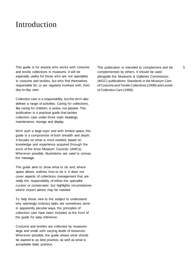### Introduction

This guide is for anyone who works with costume and textile collections in museums. It will be especially useful for those who are not specialists in costume and textiles, but who find themselves responsible for; or are regularly involved with, their day-to-day care.

Collection care is a responsibility, but the term also defines a range of activities. Caring for collections, like caring for children, is active, not passive. This publication is a practical guide that tackles collection care under three main headings: maintenance, storage and display.

With such a large topic and with limited space, this guide is a compromise of both breadth and depth. It focuses on what is most needed, based on knowledge and experience acquired through the work of the Area Museum Councils (AMCs). Wherever possible, illustrations are used to convey the message.

The guide aims to show what to do and, where space allows, outlines how to do it. It does not cover aspects of collections management that are really the responsibility of either the specialist curator or conservator; but highlights circumstances where expert advice may be needed.

To help those new to the subject to understand why seemingly ordinary tasks are sometimes done in apparently peculiar ways, the principles of collection care have been included at the front of the guide for easy reference.

Costume and textiles are collected by museums large and small, with varying levels of resources. Wherever possible, the guide shows what should be aspired to as best practice, as well as what is acceptable basic practice.

This publication is intended to complement and be 5 complemented by others. It should be used alongside the Museums & Galleries Commission (MGC) publications: Standards in the Museum Care of Costume and Textile Collections (1998) and Levels of Collection Care (1998).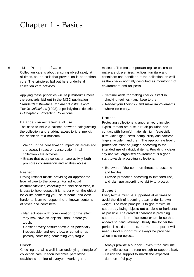### Chapter 1 - Basics

#### 6 I.I Principles of Care

Collection care is about ensuring object safety at all times, on the basis that prevention is better than cure. The principles laid out here underlie all collection care activities.

Applying these principles will help museums meet the standards laid out in the MGC publication Standards in the Museum Care of Costume and Textile Collections (1998), especially those described in Chapter 2: Protecting Collections.

#### Balance conservation and use

The need to strike a balance between safeguarding the collection and enabling access to it is implicit in the definition of a museum.

- Weigh up the conservation impact on access and the access impact on conservation in all collection care activities.
- Ensure that every collection care activity both promotes conservation and enables access.

#### Respect

Having respect means providing an appropriate level of care to the objects. For individual costumes/textiles, especially the finer specimens, it is easy to have respect. It is harder when the object looks like something you use at home, and even harder to learn to respect the unknown contents of boxes and containers.

- Plan activities with consideration for the effect they may have on objects - think before you touch.
- Consider every costume/textile as potentially irreplaceable, and every box or container as possibly containing something very fragile.

#### Check

Checking that all is well is an underlying principle of collection care. It soon becomes part of the established routine of everyone working in a

museum. The most important regular checks to make are of: premises, facilities, furniture and containers and condition of the collection, as well as the checks normally described as monitoring of environment and for pests.

- Set time aside for making checks, establish checking regimes - and keep to them.
- Review your findings and make improvements where necessary.

#### Protect

Protecting collections is another key principle. Typical threats are dust, dirt, air pollution and contact with harmful materials, light (especially ultra-violet light), pests, damp, sticky and careless fingers, accident and theft. The appropriate level of protection must be judged according to the intended use of individual items. Providing a clean, tidy and well-organised environment is a good start towards protecting collections.

- Be aware of the common threats to costume and textiles.
- Provide protection according to intended use, and plan use according to ability to protect.

#### Support

Every textile must be supported at all times to avoid the risk of it coming apart under its own weight. The basic principle is to give maximum support by laying objects out as close to horizontal as possible. The greatest challenge is providing support to an item of costume or textile so that it appears to hang naturally. Usually, the longer the period it needs to do so, the more support it will need. Good support must always be provided when moving objects.

- Always provide a support even if the costume or textile appears strong enough to support itself.
- Design the support to match the expected duration of display.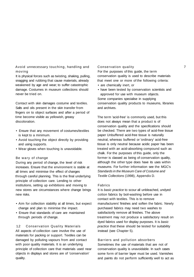Avoid unnecessary touching, handling and moving

It is physical forces such as twisting, shaking, pulling, snagging and rubbing that cause materials, already weakened by age and wear; to suffer catastrophic damage. Costumes in museum collections should never be tried on.

Contact with skin damages costume and textiles. Salts and oils present in the skin transfer from fingers on to object surfaces and after a period of time become visible as yellowish, greasy discoloration.

- Ensure that any movement of costumes/textiles is kept to a minimum.
- Avoid touching the object directly by providing and using supports.
- Wear gloves when touching is unavoidable.

#### Be wary of change

During any period of change, the level of risk increases. Ensure that the environment is stable at all times and minimise the effect of changes through careful planning. This is the final underlying principle of collection care. Lending to other institutions, setting up exhibitions and moving to new stores are circumstances where change brings new risks.

- Aim for collection stability at all times, but expect change and plan to minimise the impact.
- Ensure that standards of care are maintained through periods of change.

1.2 Conservation Quality Materials All aspects of collection care involve the use of materials for packing or support. Textiles can be damaged by polluting vapours from and contact with poor quality materials. It is an underlying principle of collection care that materials used near objects in displays and stores are of 'conservation' quality.

#### Conservation quality 7

For the purposes of this guide, the term conservation quality is used to describe materials that meet one or more of the following criteria:

- are chemically inert, or
- have been tested by conservation scientists and approved for use with museum objects.

Some companies specialise in supplying conservation quality products to museums, libraries and archives.

The term 'acid-free' is commonly used, but this does not always mean that a product is of conservation quality and the specifications should be checked. There are two types of acid-free tissue paper Unbuffered acid-free tissue is naturally neutral, whereas buffered or 'ordinary' acid-free tissue is only neutral because acidic paper has been treated with an acid-absorbing compound such as chalk. For the purposes of this guide, only the former is classed as being of conservation quality, although the other type does have its uses within museums. For further information see the MGC's Standards in the Museum Care of Costume and Textile Collections (1998), Appendix D.

#### Fabrics

It is basic practice to scour all unbleached, undyed cotton fabrics by boil-washing before use in contact with textiles. This is to remove manufacturers' finishes and soften the fabric. Newly purchased fabrics may need two washes to satisfactorily remove all finishes. The above treatment may not produce a satisfactory result on dyed fabrics used for display purposes. It is basic practice that these should be tested for suitability instead (see Chapter 5).

#### Barriers and pollution absorbers

Sometimes the use of materials that are not of conservation quality is unavoidable. In such cases some form of barrier layer must be used. Varnishes and paints do not perform sufficiently well to act as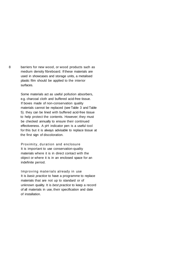8 barriers for new wood, or wood products such as medium density fibreboard. If these materials are used in showcases and storage units, a metalised plastic film should be applied to the interior surfaces.

> Some materials act as useful pollution absorbers, e.g. charcoal cloth and buffered acid-free tissue. If boxes made of non-conservation quality materials cannot be replaced (see Table 3 and Table 5). they can be lined with buffered acid-free tissue to help protect the contents. However; they must be checked annually to ensure their continued effectiveness. A pH indicator pen is a useful tool for this but it is always advisable to replace tissue at the first sign of discoloration.

Proximity, duration and enclosure It is important to use conservation-quality materials where it is in direct contact with the object or where it is in an enclosed space for an indefinite period.

Improving materials already in use It is basic practice to have a programme to replace materials that are not up to standard or of unknown quality. It is best practice to keep a record of all materials in use, their specification and date of installation.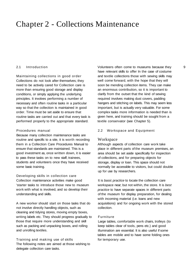### Chapter 2 - Collections Maintenance

#### 2.1 Introduction

Maintaining collections in good order Collections do not look after themselves; they need to be actively cared for Collection care is more than ensuring good storage and display conditions, or simply applying the underlying principles. It involves performing a number of necessary and often routine tasks in a particular way so that the collection is maintained in good order. Time must be set aside to ensure that routine tasks are carried out and that every task is performed properly to the appropriate standard.

#### Procedures manual

Because many collection maintenance tasks are routine and specific to a site, it is worth recording them in a Collection Care Procedures Manual to ensure that standards are maintained. This is a good investment as, once written down, it is easier to pass these tasks on to new staff, trainees, students and volunteers once they have received some basic training.

Developing skills in collection care Collection maintenance activities make good 'starter tasks to introduce those new to museum work with what is involved, and so develop their understanding and skills.

A new worker should start on those tasks that do not involve directly handling objects, such as cleaning and tidying stores, moving empty boxes, writing labels etc. They should progress gradually to those that require more understanding and skill such as packing and unpacking boxes, and rolling and unrolling textiles.

Training and making use of skills The following notes are aimed at those wishing to delegate collection care tasks.

Volunteers often come to museums because they 9 have relevant skills to offer In the case of costume and textile collections those with sewing skills may well come forward, with the hope that they will soon be mending collection items. They can make an enormous contribution, so it is important to clarify from the outset that the kind of sewing required involves making dust covers, padding hangers and stitching on labels. This may seem less important, but is actually very valuable. For some complex tasks more information is needed than is given here, and training should be sought from a textile conservator (see Chapter 5).

#### 2.2 Workspace and Equipment

#### Workspace

Although aspects of collection care work take place in different parts of the museum premises, an area should be set aside specifically for inspection of collections, and for preparing objects for storage, display or loan. This space should not normally be accessible to visitors, but could double up for use by researchers.

It is basic practice to locate the collection care workspace near; but not within, the store. It is best practice to have separate spaces in different parts of the museum for display preparation, for dealing with incoming material (i.e. loans and new acquisitions) and for ongoing work with the stored collection.

#### Furniture

Large tables, comfortable work chairs, trolleys (to keep tables clear of tools, pens etc.) and good illumination are essential. It is also useful if some tables are mobile and to have some folding ones for temporary use.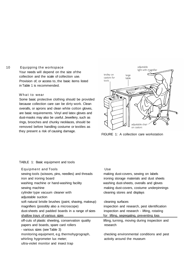#### 10 Equipping the workspace

Your needs will depend on the size of the collection and the scale of collection use. Provision of, or access to, the basic items listed in Table 1 is recommended.

#### What to wear

Some basic protective clothing should be provided because collection care can be dirty work. Clean overalls, or aprons and clean white cotton gloves, are basic requirements. Vinyl and latex gloves and dust-masks may also be useful. Jewellery, such as rings, brooches and chunky necklaces, should be removed before handling costume or textiles as they present a risk of causing damage.



FIGURE 1: A collection care workstation

#### TABLE 1: Basic equipment and tools

| Equipment and Tools<br>sewing tools (scissors, pins, needles) and threads<br>iron and ironing board<br>washing machine or hand-washing facility<br>sewing machine<br>cylinder type vacuum cleaner with<br>adjustable suction | Use<br>making dust-covers, sewing on labels<br>ironing storage materials and dust sheets<br>washing dust-sheets, overalls and gloves<br>making dust-covers, costume underpinnings<br>cleaning stores and displays |
|------------------------------------------------------------------------------------------------------------------------------------------------------------------------------------------------------------------------------|-------------------------------------------------------------------------------------------------------------------------------------------------------------------------------------------------------------------|
| soft natural bristle brushes (paint, shaving, makeup)<br>magnifiers (possibly also a microscope)<br>dust-sheets and padded boards in a range of sizes<br>shallow trays of various sizes                                      | cleaning surfaces<br>inspection and research, pest identification<br>inspection and research - lifting, rotating<br>for lifting, segregating, preventing loss                                                     |
| off-cuts of plastic sheeting, conservation quality<br>papers and boards, spare card rollers<br>- various sizes (see Table 3)                                                                                                 | lifting, turning, moving during inspection and<br>research                                                                                                                                                        |
| monitoring equipment, e.g. thermohygrograph,<br>whirling hygrometer lux meter;<br>ultra-violet monitor and insect trap                                                                                                       | checking environmental conditions and pest<br>activity around the museum                                                                                                                                          |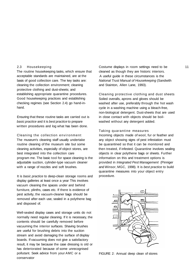#### 2.3 Housekeeping

The routine housekeeping tasks, which ensure that acceptable standards are maintained, are at the basis of good collection care. The key tasks are: cleaning the collection environment; cleaning protective clothing and dust-sheets; and establishing appropriate quarantine procedures. Good housekeeping practices and establishing checking regimes (see Section 2.4) go hand-inhand.

Ensuring that these routine tasks are carried out is basic practice and it is best practice to prepare written procedures and log what has been done.

Cleaning the collection environment The museum's cleaning staff usually undertake routine cleaning of the museum site but some cleaning activities, especially of object stores, are best integrated into the collection care program me. The basic tool for space cleaning is the adjustable suction, cylinder-type vacuum cleaner with a range of nozzles and soft brushes.

It is basic practice to deep-clean storage rooms and display galleries at least once a year This involves vacuum cleaning the spaces under and behind furniture, plinths, cases etc. If there is evidence of pest activity, the vacuum-cleaner bags should be removed after each use, sealed in a polythene bag and disposed of.

Well-sealed display cases and storage units do not normally need regular cleaning. If it is necessary, the contents should be carefully removed before vacuuming the interior surfaces. Shaving brushes are useful for brushing debris into the suction stream and avoid damaging the surface of display boards. If vacuuming does not give a satisfactory result, it may be because the case dressing is old or has deteriorated because of some unrecognised pollutant. Seek advice from your AMC or a conservator

Costume displays in room settings need to be 11 cleaned as though they are historic interiors. A useful guide in these circumstances is the National Trust Manual of Housekeeping (Sandwith and Stainton, Allen Lane, 1993).

Cleaning protective clothing and dust sheets Soiled overalls, aprons and gloves should be washed after use, preferably through the hot wash cycle in a washing machine using a bleach-free, non-biological detergent. Dust-sheets that are used in close contact with objects should be boilwashed without any detergent added.

#### Taking quarantine measures

Incoming objects made of wool, fur or feather and any object showing signs of pest infestation must be quarantined so that it can be monitored and then treated, if infested. Quarantine involves sealing objects in clear polythene bags or sheets. Further information on this and treatment options is provided in Integrated Pest Management (Pinniger and Winsor, MGC, 1998). It is best practice to build quarantine measures into your object entry procedure.



FIGURE 2: Annual deep clean of stores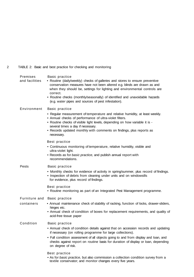2 TABLE 2: Basic and best practice for checking and monitoring

Premises Basic practice

- and facilities Routine (daily/weekly) checks of galleries and stores to ensure preventive conservation measures have not been altered e.g. blinds are drawn as and when they should be, settings for lighting and environmental controls are correct.
	- Routine checks (monthly/seasonally) of identified and unavoidable hazards (e.g. water pipes and sources of pest infestation).

#### Environment Basic practice

- Regular measurement of temperature and relative humidity, at least weekly.
- Annual checks of performance of ultra-violet filters.
- Routine checks of visible light levels, depending on how variable it is several times a day if necessary.
- Records updated monthly with comments on findings, plus reports as necessary.

#### Best practice

- Continuous monitoring of temperature, relative humidity, visible and ultra-violet light.
- Records as for basic practice, and publish annual report with recommendations.
- Pests **Basic practice** 
	- Monthly checks for evidence of activity in spring/summer, plus record of findings.
	- Inspection of debris from cleaning under units and on windowsills for evidence, plus record of findings.

Best practice

• Routine monitoring as part of an Integrated Pest Management programme.

#### Furniture and Basic practice

- 
- containers Annual maintenance check of stability of racking, function of locks, drawer-sliders, hinges etc.
	- Annual check of condition of boxes for replacement requirements, and quality of acid-free tissue paper

#### Condition Basic practice

- Annual check of condition details against that on accession records and updating if necessary (on rolling programme for large collections).
- Full condition assessment of all objects going to and from display and loan, and checks against report on routine basis for duration of display or loan, depending on degree of risk.
- Best practice
- As for basic practice, but also commission a collection condition survey from a textile conservator; and monitor changes every five years.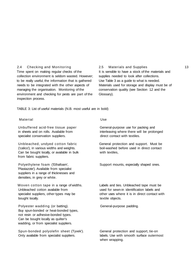#### 2.4 Checking and Monitoring

Time spent on making regular checks of the collection environment is seldom wasted. However; to be really useful, the information that is gathered needs to be integrated with the other aspects of managing the organisation. Monitoring of the environment and checking for pests are part of the inspection process.

2.5 Materials and Supplies 13 It is sensible to have a stock of the materials and supplies needed to look after collections. Use Table 3 as a guide to what is needed. Materials used for storage and display must be of conservation quality (see Section 12 and the Glossary).

TABLE 3: List of useful materials (N.B. most useful are in bold)

#### Material Use

Unbuffered acid-free tissue paper General-purpose use for packing and specialist conservation suppliers. The direct contact with textiles.

Can be bought locally, or available in bulk with textiles, from fabric suppliers.

'Plastazote'). Available from specialist suppliers in a range of thicknesses and densities, in grey or white.

Unbleached cotton available from used for sewn-in identification labels and bought locally. The contract of the contract of the contract of the contract of the contract of the contract of the contract of the contract of the contract of the contract of the contract of the contract of the contract o

Polyester wadding (or batting). General-purpose padding. Buy spun-bonded or heat-bonded types, not resin or adhesive-bonded types. Can be bought locally as quilter's wadding, or from specialist suppliers.

Spun-bonded polyolefin sheet (Tyvek'). General protection and support, tie-on Only available from specialist suppliers. labels. Use with smooth surface outermost

in sheets and on rolls. Available from interleaving where there will be prolonged

Unbleached, undyed cotton fabric General protection and support. Must be ('calico'), in various widths and weights. boil-washed before used in direct contact

Polyethylene foam ('Ethafoam', Support mounts, especially shaped ones.

Woven cotton tape in a range of widths. Labels and ties. Unbleached tape must be specialist suppliers, other types may be **other uses where it is in direct contact with** 

when wrapping.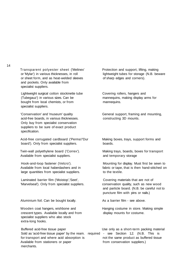14

Transparent polyester sheet ('Melinex' Protection and support, lifting, making or 'Mylar') in various thicknesses, in roll lightweight tubes for storage (N.B. beware or sheet form, and as heat-welded sleeves of sharp edges and corners). and pockets. Only available from specialist suppliers.

Lightweight surgical cotton stockinette tube Covering rollers, hangers and (Tubegauz') in various sizes. Can be mannequins, making display arms for bought from local chemists, or from mannequins. specialist suppliers.

acid-free boards, in various thicknesses. constructing 3D mounts. Only buy from specialist conservation suppliers to be sure of exact product specification.

Acid-free corrugated cardboard ('Perma'/'Dur Making boxes, trays, support forms and board'). Only from specialist suppliers. boards.

Available from specialist suppliers. The main of temporary storage

large quantities from specialist suppliers. The textile to the textile.

Laminated barrier film ('Moistop','Seet', Covering materials that are not of 'Marvelseal'). Only from specialist suppliers. conservation quality, such as new wood

Aluminium foil. Can be bought locally. As a barrier film - see above.

Wooden coat hangers, wishbone and **Hanging costume in store. Making simple** crescent types. Available locally and from display mounts for costume. specialist suppliers who also stock extra-long hooks.

Sold as 'acid-free tissue paper' by the ream. required - see Section 1.2. (N.B. This is for transport and where acid absorption is not the same product as buffered tissue Available from stationers or paper from conservation suppliers.) merchants.

'Conservation' and 'museum' quality General support, framing and mounting,

Twin-wall polyethylene board ('Correx'). Making trays, boards, boxes for transport

Hook-and-loop fastener (Velcro'). Mounting for display. Must first be sewn to Available from local haberdashers and in fabric or tape, that is then hand-stitched on

> and particle board. (N.B. be careful not to puncture film with pins or nails.)

Buffered acid-free tissue paper Theorem Use only as a short-term packing material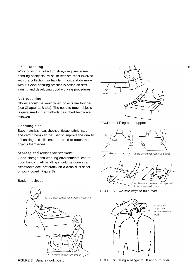#### 2.6 Handling

Working with a collection always requires some handling of objects. Museum staff are most involved with the collection, so handle it most and do more with it. Good handling practice is based on staff training and developing good working procedures.

#### Not touching

Gloves should be worn when objects are touched (see Chapter 1, Basics). The need to touch objects is quite small if the methods described below are followed.

#### Handling aids

Basic materials, (e.g. sheets of tissue, fabric, card, and card tubes) can be used to improve the quality of handling and eliminate the need to touch the objects themselves.

#### Storage and work environment

Good storage and working environments lead to good handling. All handling should be done in a clear workplace, preferably on a clean dust sheet or work board (Figure 3).

Basic methods





FIGURE 4: Lifting on a support





FIGURE 5: Two safe ways to turn over



FIGURE 3: Using a work board FIGURE 6: Using a hanger to lift and turn over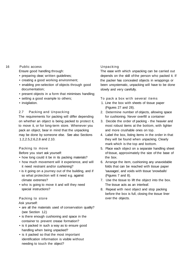#### 16 Public access

Ensure good handling through:

- preparing clear; written guidelines;
- creating a good working environment;
- enabling pre-selection of objects through good documentation;
- present objects in a form that minimises handling;
- setting a good example to others;
- invigilation.

#### 2.7 Packing and Unpacking

The requirements for packing will differ depending on whether an object is being packed to protect it, to move it, or for long-term store. Whenever you pack an object, bear in mind that the unpacking may be done by someone else. See also Sections 1.2,2.5,2.6,2.8 and 2.10.

#### Packing to move

Before you start ask yourself:

- how long could it be in its packing materials?
- how much movement will it experience, and will it need restraint and/or cushioning?
- is it going on a journey out of the building, and if so what protection will it need e.g. against climate extremes?
- who is going to move it and will they need special instructions?

#### Packing to store

Ask yourself:

- are all the materials used of conservation quality? (see Section 1.2.)
- is there enough cushioning and space in the container to prevent crease formation?
- is it packed in such a way as to ensure good handling when being unpacked?
- is it packed so that the most important identification information is visible without needing to touch the object?

#### Unpacking

The ease with which unpacking can be carried out depends on the skill of the person who packed it. If the packer has concealed objects in wrappings or been unsystematic, unpacking will have to be done slowly and very carefully.

- To pack a box with several items
- 1. Line the box with sheets of tissue paper (Figures 27 and 28).
- 2. Determine number of objects, allowing space for cushioning. Never overfill a container
- 3. Decide the order of packing the heavier and most robust items at the bottom, with lighter and more crushable ones on top.
- 4. Label the box, listing items in the order in that they will be found when unpacking. Clearly mark which is the top and bottom.
- 5. Place each object on a separate handling sheet of tissue, approximately the size of the base of the box.
- 6. Arrange the item, cushioning any unavoidable folds that can be reached with tissue paper 'sausages', and voids with tissue 'snowballs' (Figures 7 and 8).
- 7. Use the tissue to lift the object into the box. The tissue acts as an interleaf.
- 8. Repeat with next object and stop packing before the box is full, closing the tissue liner over the objects.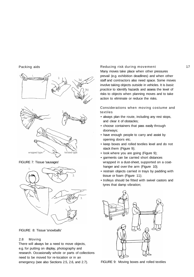#### Packing aids



FIGURE 7: Tissue 'sausages'



FIGURE 8: Tissue 'snowballs'

#### 2.8 Moving

There will always be a need to move objects, e.g. for putting on display, photography and research. Occasionally whole or parts of collections need to be moved for re-location or in an emergency (see also Sections 2.5, 2.6, and 2.7).

#### Reducing risk during movement 17

Many moves take place when other pressures prevail (e.g. exhibition deadlines) and when other staff and contractors also need space. Some moves involve taking objects outside in vehicles. It is basic practice to identify hazards and assess the level of risks to objects when planning moves and to take action to eliminate or reduce the risks.

Considerations when moving costume and textiles

- always plan the route, including any rest stops, and clear it of obstacles;
- choose containers that pass easily through doorways;
- have enough people to carry and assist by opening doors etc.
- keep boxes and rolled textiles level and do not stack them (Figure 9);
- look where you are going (Figure 9);
- garments can be carried short distances wrapped in a dust-sheet, supported on a coathanger and over the arm (Figure 10);
- restrain objects carried in trays by padding with tissue or foam (Figure 11);
- trolleys should be fitted with swivel castors and tyres that damp vibration;



FIGURE 9: Moving boxes and rolled textiles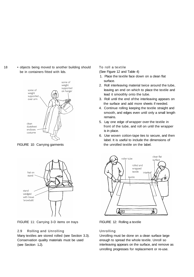18 • objects being moved to another building should be in containers fitted with lids.



FIGURE 10: Carrying garments



FIGURE 11: Carrying 3-D items on trays

#### 2.9 Rolling and Unrolling

Many textiles are stored rolled (see Section 3.3). Conservation quality materials must be used (see Section 1.2).

#### To roll a textile

(See Figure 12 and Table 4)

- 1. Place the textile face down on a clean flat surface.
- 2. Roll interleaving material twice around the tube, leaving an end on which to place the textile and lead it smoothly onto the tube.
- 3. Roll until the end of the interleaving appears on the surface and add more sheets if needed.
- 4. Continue rolling keeping the textile straight and smooth, and edges even until only a small length remains.
- 5. Lay one edge of wrapper over the textile in front of the tube, and roll on until the wrapper is in place.
- 6. Use woven cotton-tape ties to secure, and then label. It is useful to include the dimensions of the unrolled textile on the label.



FIGURE 12: Rolling a textile

#### Unrolling

Unrolling must be done on a clean surface large enough to spread the whole textile. Unroll so interleaving appears on the surface, and remove as unrolling progresses for replacement or re-use.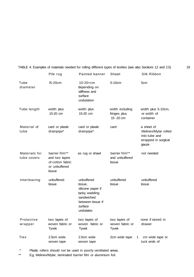|                              | Pile rug                                                                        | Painted banner                                                                                                          | Shawl                                            | Silk Ribbon                                                                         |  |
|------------------------------|---------------------------------------------------------------------------------|-------------------------------------------------------------------------------------------------------------------------|--------------------------------------------------|-------------------------------------------------------------------------------------|--|
| Tube<br>diameter             | <b>I5-20cm</b>                                                                  | $10 - 20 + cm$<br>depending on<br>stiffness and<br>surface<br>undulation                                                | 5-10cm                                           | 5cm                                                                                 |  |
| Tube length                  | width plus<br>15-20 cm                                                          | width plus<br>15-20 cm                                                                                                  | width including<br>fringes plus<br>15 - 20 cm    | width plus 5-10cm,<br>or width of<br>container                                      |  |
| Material of<br>tube          | card or plastic<br>drainpipe*                                                   | card or plastic<br>drainpipe*                                                                                           | card                                             | a sheet of<br>Melinex/Mylar rolled<br>into tube and<br>wrapped in surgical<br>gauze |  |
| Materials for<br>tube covers | barrier film**<br>and two layers<br>of cotton fabric<br>or unbuffered<br>tissue | as rug or shawl                                                                                                         | barrier film**<br>and unbuffered<br>tissue       | not needed                                                                          |  |
| Interleaving                 | unbuffered<br>tissue                                                            | unbuffered<br>tissue,<br>silicone paper if<br>tacky, wadding<br>sandwiched<br>between tissue if<br>surface<br>undulates | unbuffered<br>tissue                             | unbuffered<br>tissue                                                                |  |
| Protective<br>wrapper        | two layers of<br>woven fabric or<br><b>Tyvek</b>                                | two layers of<br>woven fabric or<br><b>Tyvek</b>                                                                        | two layers of<br>woven fabric or<br><b>Tyvek</b> | none if stored in<br>drawer                                                         |  |
| Ties                         | 2.5cm wide<br>woven tape                                                        | 2.5cm wide<br>woven tape                                                                                                | 2cm wide tape<br>1                               | cm wide tape or<br>tuck ends of                                                     |  |

TABLE 4: Examples of materials needed for rolling different types of textiles (see also Sections 12 and 2.5) 19

\* Plastic rollers should not be used in poorly ventilated areas.<br>\*\* Fo Melinex/Mylar: laminated barrier film or aluminium foil

E.g. Melinex/Mylar; laminated barrier film or aluminium foil.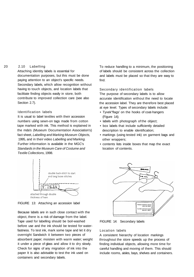#### 20 2.10 Labelling

Attaching identity labels is essential for documentation purposes, but this must be done paying attention to an object's specific needs. Secondary labels, which allow recognition without having to touch objects, and location labels that facilitate finding objects easily in store, both contribute to improved collection care (see also Section 2.7).

#### Identification labels

It is usual to label textiles with their accession numbers using sewn-on tags made from cotton tape marked with ink. This method is explained in the mda's (Museum Documentation Association's) fact sheet, Labelling and Marking Museum Objects, 1995, and in their video Labelling and Marking. Further information is available in the MGC's Standards in the Museum Care of Costume and Textile Collections, 1998.



FIGURE 13: Attaching an accession label

Because labels are in such close contact with the object, there is a risk of damage from the label. Tape used for labelling should be boil-washed before use and the ink should be tested for waterfastness. To test ink, mark some tape and let it dry overnight Sandwich it between two pieces of absorbent paper; moisten with warm water; weight it under a piece of glass and allow it to dry slowly. Check for signs of any migration of ink into the paper It is also advisable to test the ink used on containers and secondary labels.

To reduce handling to a minimum, the positioning of labels should be consistent across the collection and labels must be placed so that they are easy to find.

Secondary identification labels The purpose of secondary labels is to allow accurate identification without the need to locate the accession label. They are therefore best placed at eye level. Types of secondary labels include:

- Tyvek"flags' on the hooks of coat-hangers (Figure 14);
- labels with photograph of the object;
- box labels that include sufficiently detailed description to enable identification;
- markings (using tested ink) on garment bags and other wrappers;
- contents lists inside boxes that map the exact location of contents.



FIGURE 14: Secondary labels

#### Location labels

A consistent hierarchy of location markings throughout the store speeds up the process of finding individual objects, allowing more time for careful handling and moving of them. This should include rooms, aisles, bays, shelves and containers.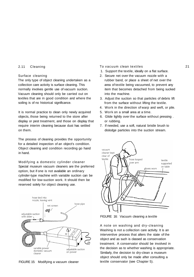#### 2.11 Cleaning

#### Surface cleaning

The only type of object cleaning undertaken as a collection care activity is surface cleaning. This normally involves gentle use of vacuum suction. Vacuum cleaning should only be carried out on textiles that are in good condition and where the soiling is of no historical significance.

It is normal practice to clean only newly acquired objects, those being returned to the store after display or pest treatment, and those on display that require interim cleaning because dust has settled on them.

The process of cleaning provides the opportunity for a detailed inspection of an object's condition. Object cleaning and condition recording go hand in hand.

Modifying a domestic cylinder cleaner Special museum vacuum cleaners are the preferred option, but if one is not available an ordinary cylinder-type machine with variable suction can be modified for low-suction work. It should then be reserved solely for object cleaning use.



FIGURE 15: Modifying a vacuum cleaner

#### To vacuum clean textiles 21

- 1. Support the textile, ideally on a flat surface.
- 2. Secure net over the vacuum nozzle with a rubber band, or place a sheet of net over the area of textile being vacuumed, to prevent any item that becomes detached from being sucked into the machine.
- 3. Adjust the suction so that particles of debris lift from the surface without lifting the textile.
- 4. Work in the direction of warp and weft, or pile.
- 5. Work on a small area at a time.
- 6. Glide lightly over the surface without pressing . or rubbing.
- 7. If needed, use a soft, natural bristle brush to dislodge particles into the suction stream.



FIGURE 16: Vacuum cleaning a textile

A note on washing and dry-cleaning Washing is not a collection care activity. It is an interventive process that alters the state of the object and as such is classed as conservation treatment. A conservator should be involved in the decision as to whether washing is appropriate. Similarly, the decision to dry-clean a museum object should only be made after consulting a textile conservator (see Chapter 5).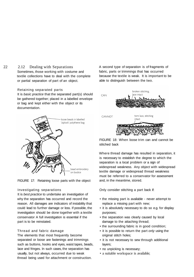#### 22 2.12 Dealing with Separations

Sometimes, those working with costume and textile collections have to deal with the complete or partial separation of part of an object.

#### Retaining separated parts

It is basic practice that the separated part(s) should be gathered together; placed in a labelled envelope or bag and kept either with the object or its documentation.



FIGURE 17: Retaining loose parts with the object

#### Investigating separations

It is best practice to undertake an investigation of why the separation has occurred and record the reason. All damages are indicators of instability that could lead to further damage or loss. If possible, the investigation should be done together with a textile conservator A full investigation is essential if the part is to be reinstated.

#### Thread and fabric damage

The elements that most frequently become separated or loose are fastenings and trimmings such as buttons, hooks and eyes, waist tapes, beads, lace and fringes. In such cases, the separation has usually, but not always, occurred due to weak thread being used for attachment or construction.

A second type of separation is of fragments of fabric, parts or trimmings that has occurred because the textile is weak. It is important to be able to distinguish between the two.



FIGURE 18: When loose trim can and cannot be stitched back

Where thread damage has resulted in separation, it is necessary to establish the degree to which the separation is a local problem or a sign of widespread weakness. Any object with widespread textile damage or widespread thread weakness must be referred to a conservator for assessment and, in the meantime, stored.

Only consider stitching a part back if:

- the missing part is available never attempt to replace a missing part with new;
- it is absolutely necessary to do so e.g. for display purposes;
- the separation was clearly caused by local damage to the attaching thread;
- the surrounding fabric is in good condition;
- it is possible to return the part only using the original stitch holes;
- it is not necessary to sew through additional layers;
- no unpicking is necessary;
- a suitable workspace is available;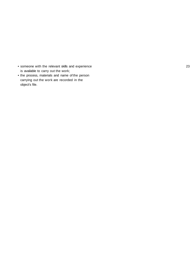- someone with the relevant skills and experience 23 is available to carry out the work;
- the process, materials and name of the person carrying out the work are recorded in the object's file.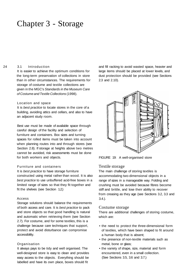### Chapter 3 - Storage

#### 24 3.1 Introduction

It is easier to achieve the optimum conditions for the long-term preservation of collections in store than in other circumstances. The requirements for storage of costume and textile collections are given in the MGC's Standards in the Museum Care of Costume and Textile Collections (1998).

#### Location and space

It is best practice to locate stores in the core of a building, avoiding attics and cellars, and also to have an adjacent study room.

Best use must be made of available space through careful design of the facility and selection of furniture and containers. Box sizes and turning spaces for rolled items must be taken into account when planning routes into and through stores (see Section 2.8). If storage at heights above two metres cannot be avoided, risk assessments must be done for both workers and objects.

#### Furniture and containers

It is best practice to have storage furniture constructed using metal rather than wood. It is also best practice to use unbuffered acid-free boxes in a limited range of sizes so that they fit together and fit the shelves (see Section 1.2.)

#### Access

Storage solutions should balance the requirements of both access and care. It is best practice to pack and store objects so that good handling is natural and automatic when retrieving them (see Section 2.7). For costume, and for some textiles, this is a challenge because care techniques that support, protect and avoid disturbance can compromise accessibility.

#### Organisation

It always pays to be tidy and well organised. The well-designed store is easy to clean and provides easy access to the objects. Everything should be labelled and have its own place, boxes should fit

and fill racking to avoid wasted space, heavier and large items should be placed at lower levels, and dust protection should be provided (see Sections 2.3 and 2.10).



FIGURE 19: A well-organised store

#### Textile storage

The main challenge of storing textiles is accommodating two-dimensional objects in a range of sizes in a manageable way. Folding and crushing must be avoided because fibres become stiff and brittle, and lose their ability to recover from creasing as they age (see Sections 3.2, 3.3 and 3.4.).

#### Costume storage

There are additional challenges of storing costume, which are:

- the need to protect the three-dimensional form of textiles, which have been shaped to fit around a human body that is absent;
- the presence of non-textile materials such as metal, bone or glass;
- the variety of shape, size, material and form encountered, even in a small collection. (See Sections 3.5, 3.6 and 3.7.)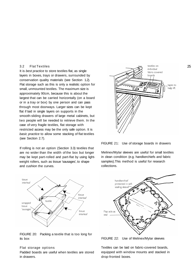#### 3.2 Flat Textiles

It is *best practice* to store textiles flat, as single layers in boxes, trays or drawers, surrounded by conservation quality materials (see Section 1.2). Flat storage such as this is only a realistic option for small, unmounted textiles. The maximum size is approximately 90cm, because this is about the largest that can be carried horizontally (on a board or in a tray or box) by one person and can pass through most doorways. Larger sizes can be kept flat if laid in single layers on supports in the smooth-sliding drawers of large metal cabinets, but two people will be needed to retrieve them. In the case of very fragile textiles, flat storage with restricted access may be the only safe option. It is basic practice to allow some stacking of flat textiles (see Section 2.7).

If rolling is not an option (Section 3.3) textiles that are no wider than the width of the box but longer may be kept part-rolled and part-flat by using lightweight rollers, such as tissue 'sausages', to shape and cushion the curves.



FIGURE 20: Packing a textile that is too long for its box

#### Flat storage options

Padded boards are useful when textiles are stored in drawers.



FIGURE 21: Use of storage boards in drawers

Melinex/Mylar sleeves are useful for small textiles in clean condition (e.g. handkerchiefs and fabric samples).This method is useful for research collections.



FIGURE 22: Use of Melinex/Mylar sleeves

Textiles can be laid on fabric-covered boards, equipped with window mounts and stacked in drop-fronted boxes.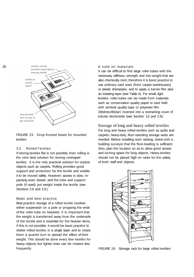

FIGURE 23: Drop-fronted boxes for mounted textiles

#### 3.3 Rolled Textiles

If storing textiles flat is not possible, then rolling is the next best solution for storing unshaped textiles. It is the only practical solution for outsize objects such as carpets. Rolling provides good support and protection for the textile and enable it to be moved safely. However; access is slow, repacking even slower; and the tube and support pole (if used) put weight inside the textile (see Sections 2.8 and 2.9.)

#### Basic and best practice

Best practice storage of a rolled textile involves either suspension on a pole or propping the ends of the roller tube on brackets. It is important that the weight is transferred away from the underside of the textile and is essential for the heavier items. If this is not possible, it would be basic practice to shelve rolled textiles in a single layer; and to rotate them a quarter turn to spread the effect of their weight. This should be done every few months for heavy objects but lighter ones can be rotated less frequently

#### A note on materials

It can be difficult to find large roller tubes with the necessary stiffness, strength and low weight that are also chemically inert, therefore it is basic practice to use ordinary card ones (from carpet warehouses) or plastic drainpipes, and to apply a barrier film plus an isolating layer (see Table 4). For small, light textiles, roller tubes can be made from materials such as conservation quality paper or card held with archival quality tape or polyester film (Melinex/Mylar) inserted into a restraining cover of tubular stockinette (see Section 12 and 2.9).

Storage of long and heavy rolled textiles For long and heavy rolled textiles such as quilts and carpets, heavy-duty, floor-standing storage racks are needed. Before installing such racking, check with a building surveyor that the floor-loading is sufficient. Also, plan the location so as to allow good access and turning space for long objects. Heavy textiles should not be placed high on racks for the safety of both staff and objects.



FIGURE 24: Storage rack for large rolled textiles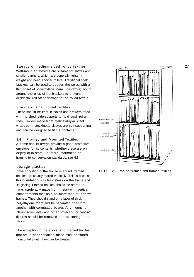Storage of medium-sized rolled textiles Wall-mounted systems are suitable for shawls and smaller banners, which are generally lighter in weight and need shorter rollers. Traditional shelf brackets can be used to support the poles, with a thin sheet of polyethylene foam (Plastazote) bound around the ends of the brackets to prevent accidental roll-off or damage to the rolled textile.

#### Storage of small rolled textiles

These should be kept in boxes and drawers fitted with notched, side-supports to hold small rollerrods. Rollers made from Melinex/Mylar sheet wrapped in stockinette sleeves are self-supporting and can be designed to fit the container

#### 3.4 Framed and Mounted Textiles

A frame should always provide a good protective envelope for its contents, whether these are on display or in store. For more information on framing to conservation standards, see 4.3.

#### Storage practice

If the condition of the textile is sound, framed textiles are usually stored vertically. This is because this orientation puts least stress on the frame and its glazing. Framed textiles should be stored in racks (preferably made from metal) with vertical compartments that hold no more than four or five frames. They should stand on a layer of thick polyethylene foam and be separated one from another with corrugated boards. Any mounting plates, screw eyes and other projecting or hanging fixtures should be removed prior to storing in the racks.

The exception to the above is for framed textiles that are in poor condition; these must be stored horizontally until they can be treated.



FIGURE 25: Rack for frames and framed textiles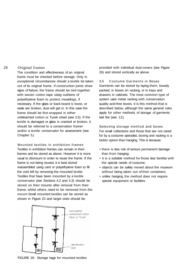#### 28 Original frames

The condition and effectiveness of an original frame must be checked before storage. Only in exceptional circumstances should a textile be taken out of its original frame. If construction joints show signs of failure, the frame should be tied together with woven cotton tape using cushions of polyethylene foam to protect mouldings, if necessary. If the glass or back-board is loose, or seals are broken, dust will get in. In this case the frame should be first wrapped in either unbleached cotton or Tyvek sheet (see 2.5). If the textile is damaged or glass is cracked or broken, it should be referred to a conservation framer and/or a textile conservator for assessment (see Chapter 5.)

Mounted textiles in exhibition frames Textiles in exhibition frames can remain in their frames and be stored as above. However it is more usual to dismount in order to reuse the frame. If the frame is not being reused, it is best stored reassembled using card or polyethylene foam to fill the void left by removing the mounted textile. Textiles that have been mounted by a textile conservator (see Sections 4.2 and 4.3) should be stored on their mounts after removal from their frame, whilst others need to be removed from the mount Small mounted textiles can be stored as shown in Figure 23 and larger ones should be



FIGURE 26: Storage bags for mounted textiles

provided with individual dust-covers (see Figure 26) and stored vertically as above.

3.5 Costume Garments in Boxes Garments can be stored by laying them, loosely packed, in boxes on racking, or in trays and drawers in cabinets. The most common type of system uses metal racking with conservation quality acid-free boxes. It is this method that is described below, although the same general rules apply for other methods of storage of garments laid flat (see 1.2.)

Selecting storage method and boxes For small collections and those that are not cared for by a costume specialist, boxing and racking is a better option than hanging. This is because:

- there is less risk of serious permanent damage than from hanging;
- it is a suitable method for those less familiar with the special needs of costume;
- objects can be safely moved about the museum without being taken out of their containers;
- unlike hanging, the method does not require special equipment or facilities.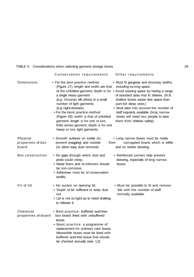#### TABLE 5: Considerations when selecting garment storage boxes 29

|                                        | Conservation requirements                                                                                                                                                                                                                                                                                                                                                                     | Other requirements                                                                                                                                                                                                                                                                                                                                                                                                       |
|----------------------------------------|-----------------------------------------------------------------------------------------------------------------------------------------------------------------------------------------------------------------------------------------------------------------------------------------------------------------------------------------------------------------------------------------------|--------------------------------------------------------------------------------------------------------------------------------------------------------------------------------------------------------------------------------------------------------------------------------------------------------------------------------------------------------------------------------------------------------------------------|
| Dimensions                             | • For the best practice method<br>(Figure 27): length and width are that<br>a single heavy garment<br>(e.g. Victorian silk dress) or a small<br>number of light garments<br>(e.g. night-dresses).<br>. For the basic practice method<br>(Figure 28): width is that of unfolded<br>garment; length is for one or two<br>folds across garment; depth is for one<br>heavy or two light garments. | • Must fit gangway and doorway widths,<br>including turning space.<br>of the unfolded garment; depth is for . Avoid wasting space by having a range<br>of standard sizes that fit shelves. (N.B.<br>shallow boxes waste less space than<br>part-full deep ones.)<br>• Must take into account the number of<br>staff regularly available (long narrow<br>boxes will need two people to take<br>them from shelves safely). |
| Physical<br>properties of box<br>board | • Smooth surfaces on inside (to<br>prevent snagging) and outside<br>from<br>(to allow easy dust removal).                                                                                                                                                                                                                                                                                     | • Long narrow boxes must be made<br>corrugated board, which is stiffer<br>and so resists skewing.                                                                                                                                                                                                                                                                                                                        |
| Box construction                       | • No gaps through which dust and<br>pests could creep.<br>• Metal fixers and re-inforcers should<br>be non-corrosive.<br>• Adhesives must be of conservation<br>quality.                                                                                                                                                                                                                      | • Reinforced corners help prevent<br>skewing, especially of long narrow<br>boxes.                                                                                                                                                                                                                                                                                                                                        |
| Fit of lid                             | • No suction on opening lid.<br>• Depth of lid sufficient to keep dust<br>out.<br>• Lid is not so tight as to need shaking<br>to release it.                                                                                                                                                                                                                                                  | • Must be possible to fit and remove<br>lids with the number of staff<br>normally available.                                                                                                                                                                                                                                                                                                                             |
| Chemical<br>properties of board        | • Best practice: buffered acid-free<br>box board lined with unbuffered<br>tissue.<br>• Basic practice: a programme of<br>replacement for ordinary card boxes.<br>Meanwhile boxes must be lined with<br>buffered acid-free tissue that should<br>be checked annually (see 1.2).                                                                                                                |                                                                                                                                                                                                                                                                                                                                                                                                                          |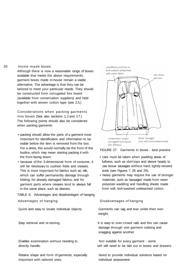#### 30 Home-made boxes

Although there is now a reasonable range of boxes available that meets the above requirements, garment boxes made in-house remain a viable alternative. The advantage is that they can be tailored to meet your particular needs. They should be constructed from corrugated box board (available from conservation suppliers) and held together with woven cotton tape (see 2.5.)

Considerations when packing garments into boxes (See also sections .1.2 and 2.7.) The following points should also be considered when packing garments:

- packing should allow the parts of a garment most important for identification and information to be visible before the item is removed from the box. For a dress, this would normally be the front of the bodice, which may mean starting packing it with the front facing down;
- because of the 3-dimensional form of costume, it will be necessary to cushion folds and creases. This is most important for fabrics such as: silk, which can suffer permanently damage through folding; for already damaged fabrics; and for garment parts where creases tend to always fall in the same place, such as sleeves;

TABLE 6: Advantages and disadvantages of hanging Advantages of hanging Disadvantages of hanging

Enables examination without needing to Not suitable for every garment - some

Retains shape and form of garments, especially Need to provide individual solutions based on important with tailored ones. individual assessment.



FIGURE 27: Garments in boxes - best practice

- care must be taken when padding areas of fullness, such as skirt tops and sleeve heads, to use tissue sausages without hard, tightly-twisted ends (see Figures 7, 28 and 29);
- heavy garments may require the use of stronger materials, such as 'sausages' made from sewn polyester wadding and handling sheets made from soft, boil-washed unbleached cotton.

Quick and easy to locate individual objects. Garments can sag and tear under their own weight.

Easy retrieval and re-storing. The storing state of this easy to over-crowd rails and this can cause damage through one garment rubbing and snagging against another

directly handle. will still need to be laid out in boxes and drawers.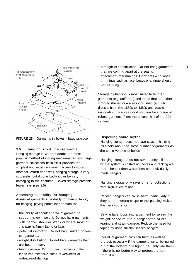

FIGURE 28: Garments in boxes - basic practice

#### 3.6 Hanging Costume Garments

Hanging storage is, without doubt, the most popular method of storing medium-sized and large garment collections because it provides the simplest and most convenient access to stored material. When done well, hanging storage is very successful, but if done badly it can be very damaging to the costume. Boxed storage presents fewer risks (see 3.5).

Assessing suitability for hanging Assess all garments individually for their suitability for hanging, paying particular attention to:

- the ability of shoulder area of garment to support its own weight. Do not hang garments with narrow shoulder straps or where most of this part is flimsy fabric or lace;
- potential distortion. Do not hang knitted or biascut garments;
- weight distribution. Do not hang garments that are bottom-heavy;
- fabric damage. Do not hang garments if the fabric has extensive areas of weakness or widespread damage;
- strength of construction. Do not hang garments 31 that are coming apart at the seams;
- attachment of trimmings. Garments with loose trimmings such as lace, beads or a fringe should not be hung.

Storage by hanging is most suited to tailored garments (e.g. uniforms) and those that are either strongly shaped or are easily crushed (e.g. silk dresses from the 1830s to 1880s and plastic raincoats). It is also a good solution for storage of robust garments from the second half of the 20th century.

#### Dispelling some myths

Hanging storage does not save space - hanging rails hold about the same number of garments as the same volume of boxes.

Hanging storage does not save money - if the whole system is costed up, boxes and racking are both cheaper than wardrobes and individually made hangers.

Hanging storage only saves time for collections with high levels of use.

Padded hangers can cause harm, particularly if they are the wrong shape or the padding makes the neck too short.

Sewing tape loops into a garment to 'spread the weight' or secure it to a hanger often causes tearing and strain damage. Reduce the need for taping by using suitably shaped hangers.

Individual garment bags can harm as well as protect, especially if the garment has to be pulled out of the bottom of a tight tube. Only use them if there is no better way to protect the item from dust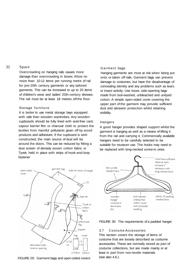#### 32 Space

Overcrowding on hanging rails causes more damage than overcrowding in boxes. Allow no more than 10-12 items per running metre of rail for pre-20th century garments or any tailored garments. This can be increased to up to 20 items of children's wear and ladies' 20th-century dresses. The rail must be at least 18 metres off the floor

#### Storage furniture

It is better to use metal storage bays equipped with rails than wooden wardrobes. Any wooden cupboards should be fully lined with acid-free card, vapour barrier film or charcoal cloth to protect the textiles from harmful pollutants given off by wood products and adhesives. If the cupboard is wellconstructed, the main source of dust will be around the doors. This can be reduced by fitting a dust screen of densely woven cotton fabric or Tyvek, held in place with strips of hook-and-loop fastener

#### Garment bags

Hanging garments are most at risk when being put onto or taken off rails. Garment bags can prevent damage to costumes, but have the disadvantage of concealing identity and any problems such as tears or insect activity. Use loose, side-opening bags made from boil-washed, unbleached and undyed cotton. A simple open-sided cover covering the upper part of the garment may provide sufficient dust and abrasion protection whilst retaining visibility.

#### Hangers

A good hanger provides shaped support whilst the garment is hanging as well as a means of lifting it from the rail and carrying it. Commercially available hangers need to be carefully selected to be suitable for museum use. The hooks may need to be replaced with long-necked screw-in ones.



FIGURE 29: Garment bags and open-sided covers





#### 3.7 Costume Accessories

This section covers the storage of items of costume that are loosely described as costume accessories. These are normally stored as part of costume collections, but are made mainly or at least in part from non-textile materials (see also 4.6.).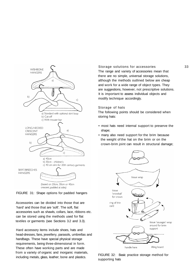

FIGURE 31: Shape options for padded hangers

Accessories can be divided into those that are 'hard' and those that are 'soft'. The soft, flat accessories such as shawls, collars, lace, ribbons etc. can be stored using the methods used for flat textiles or garments (see Sections 3.2 and 3.3).

Hard accessory items include shoes, hats and head-dresses, fans, jewellery, parasols, umbrellas and handbags. These have special physical storage requirements, being three-dimensional in form. These often have working parts and are made from a variety of organic and inorganic materials, including metals, glass, leather; bone and plastics.

#### Storage solutions for accessories 33

The range and variety of accessories mean that there are no simple, universal storage solutions, although the methods outlined below are cheap and work for a wide range of object types. They are suggestions, however, not prescriptive solutions. It is important to assess individual objects and modify technique accordingly.

#### Storage of hats

The following points should be considered when storing hats:

- most hats need internal support to preserve the shape;
- many also need support for the brim because the weight of the hat on the brim or on the crown-brim joint can result in structural damage;



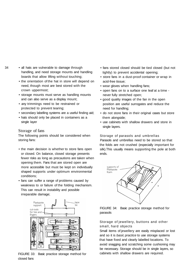- 
- 34 all hats are vulnerable to damage through handling, and need storage mounts and handling boards that allow lifting without touching;
	- the orientation of the hat in store will depend on need, though most are best stored with the crown uppermost;
	- storage mounts must serve as handling mounts and can also serve as a display mount;
	- any trimmings need to be restrained or protected to prevent tearing;
	- secondary labelling systems are a useful finding aid;
	- hats should only be placed in containers as a single layer

#### Storage of fans

The following points should be considered when storing fans:

- the main decision is whether to store fans open or closed. On balance, closed storage presents fewer risks as long as precautions are taken when opening them. Fans that are stored open are more accessible but must be kept on individually shaped supports under optimum environmental conditions;
- fans can suffer a range of problems caused by weakness to or failure of the folding mechanism. This can result in instability and possible irreparable damage;



FIGURE 33: Basic practice storage method for closed fans

- fans stored closed should be tied closed (but not tightly) to prevent accidental opening;
- store fans in a dust-proof container or wrap in acid-free tissue;
- wear gloves when handling fans;
- open fans on to a surface one leaf at a time never fully stretched open;
- good quality images of the fan in the open position are useful surrogates and reduce the need for handling;
- do not store fans in their original cases but store them alongside;
- use cabinets with shallow drawers and store in single layers.

Storage of parasols and umbrellas Parasols and umbrellas need to be stored so that

the folds are not crushed (especially important for silk).This usually means supporting the pole at both ends.



FIGURE 34: Basic practice storage method for parasols

#### Storage of jewellery, buttons and other small, hard objects

Small items of jewellery are easily misplaced or lost and so it is basic practice to use storage systems that have fixed and clearly labelled locations. To avoid snagging and scratching some cushioning may be necessary. Storage should be in single layers, so cabinets with shallow drawers are required.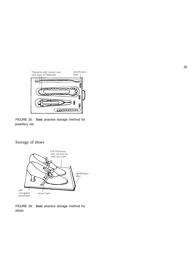

FIGURE 35: Basic practice storage method for jewellery etc.

### Storage of shoes



FIGURE 36: Basic practice storage method for shoes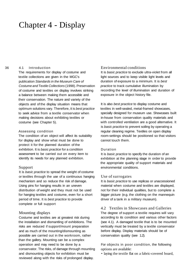### Chapter 4 - Display

#### 36 4.1 Introduction

The requirements for display of costume and textile collections are given in the MGC's publication Standards in the Museum Care of Costume and Textile Collections (1998). Preservation of costume and textiles on display involves striking a balance between making them accessible and their conservation. The nature and variety of the objects and of the display situation means that optimum solutions vary. Therefore, it is best practice to seek advice from a textile conservator when making decisions about exhibiting textiles or costume (see Chapter 5).

#### Assessing condition

The condition of an object will affect its suitability for display and show what must be done to protect it for the planned duration of the exhibition. It is basic practice for a condition assessment to be carried out on every item to identify its needs for any planned exhibition.

#### Support

It is *basic practice* to spread the weight of costume or textiles through the use of a continuous hanging mechanism and so reduce the risk of damage. Using pins for hanging results in an uneven distribution of weight and they must not be used for hanging textiles and costume, even for a short period of time. It is best practice to provide complete or full support

#### Mounting displays

Costume and textiles are at greatest risk during the installation and dismantling of exhibitions. The risks are reduced if support/mount preparation and as much of the mounting/dismounting as possible are carried out in the workroom, rather than the gallery. Mounting can be a complex operation and may need to be done by a conservator. The risks, of damage through mounting and dismounting objects for exhibition must be reviewed along with the risks of prolonged display.

#### Environmental conditions

It is *basic practice* to exclude ultra-violet from all light sources and to keep visible light levels and duration of exposure to a minimum. It is best practice to track cumulative illumination by recording the level of illumination and duration of exposure in the object history file.

It is also best practice to display costume and textiles in well-sealed, metal-framed showcases, specially designed for museum use. Showcases built in-house from conservation quality materials and with controlled ventilation are a good alternative. It is basic practice to prevent soiling by operating a regular cleaning regime. Textiles on open display room-settings should be positioned so that visitors cannot touch them.

#### Duration

It is *basic practice* to specify the duration of an exhibition at the planning stage in order to provide the appropriate quality of support materials and environmental conditions.

#### Use of surrogates

It is basic practice to use replicas or unaccessioned material when costume and textiles are displayed, not for their individual qualities, but to complete a bigger picture (e.g. the clothing on the mannequin driver of a tank in a military museum).

4.2 Textiles in Showcases and Galleries The degree of support a textile requires will vary according to its condition and various other factors (see 4.1). A damaged textile that is to be mounted vertically must be treated by a textile conservator before display. Display materials should be of conservation quality (see 1.2).

For objects in poor condition, the following options are available:

• laying the textile flat on a fabric-covered board,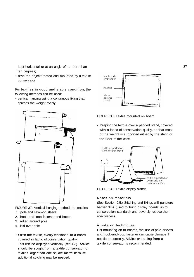kept horizontal or at an angle of no more than ten degrees;

• have the object treated and mounted by a textile conservator

For textiles in good and stable condition, the following methods can be used:

• vertical hanging using a continuous fixing that spreads the weight evenly.



FIGURE 37: Vertical hanging methods for textiles 1. pole and sewn-on sleeve

- 2. hook-and-loop fastener and batten
- 3. rolled around pole
- 4. laid over pole
- Stitch the textile, evenly tensioned, to a board covered in fabric of conservation quality. This can be displayed vertically (see 4.3). Advice should be sought from a textile conservator for textiles larger than one square metre because additional stitching may be needed.



FIGURE 38: Textile mounted on board

• Draping the textile over a padded stand, covered with a fabric of conservation quality, so that most of the weight is supported either by the stand or the floor of the case.



FIGURE 39: Textile display stands

#### Notes on materials

(See Section 2.5.) Stitching and fixings will puncture barrier films (used to bring display boards up to conservation standard) and severely reduce their effectiveness.

#### A note on techniques

Flat mounting on to boards, the use of pole sleeves and hook-and-loop fastener can cause damage if not done correctly. Advice or training from a textile conservator is recommended.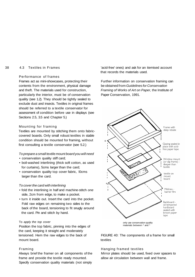#### 38 4.3 Textiles in Frames

#### Performance of frames

Frames act as mini-showcases, protecting their contents from the environment, physical damage and theft. The materials used for construction, particularly the interior, must be of conservation quality (see 1.2). They should be tightly sealed to exclude dust and insects. Textiles in original frames should be referred to a textile conservator for assessment of condition before use in displays (see Sections 2.5, 3.5 and Chapter 5.)

#### Mounting for framing

Textiles are mounted by stitching them onto fabriccovered boards. Only small robust textiles in stable condition should be mounted for framing, without first consulting a textile conservator (see 5.2.)

#### To prepare a small textile mount board you will need

- conservation quality stiff card;
- boil-washed interlining (thick soft cotton, as used for curtains), 5cms larger than the card;
- conservation quality top cover fabric, l0cms larger than the card.

#### To cover the card with interlining

- fold the interlining in half and machine-stitch one side, 2cm from edge, to make a pocket.
- turn it inside out. Insert the card into the pocket. Fold raw edges on remaining two sides to the back of the board, tensioning to fit snugly around the card. Pin and stitch by hand.

#### To apply the top cover

Position the top fabric, pinning into the edges of the card, keeping it straight and moderately tensioned. Hem the raw edges to the back of mount board.

#### Framing

Always brief the framer on all components of the frame and provide the textile ready mounted. Specify conservation quality materials (not simply

'acid-free' ones) and ask for an itemised account that records the materials used.

Further information on conservation framing can be obtained from Guidelines for Conservation Framing of Works of Art on Paper, the Institute of Paper Conservation, 1991.



FIGURE 40: The components of a frame for small textiles

#### Hanging framed textiles

Mirror plates should be used, fixed over spacers to allow air circulation between wall and frame.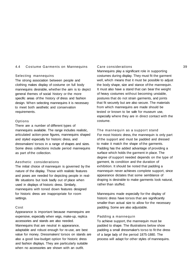#### 4.4 Costume Garments on Mannequins

#### Selecting mannequins

The strong association between people and clothing makes display of costume on full body mannequins desirable, whether the aim is to depict general themes of social history or the more specific areas of the history of dress and fashion design. When selecting mannequins it is necessary to meet both aesthetic and conservation requirements.

#### **Options**

There are a number of different types of mannequins available. The range includes realistic, articulated action-pose figures, mannequins shaped and styled especially for historic dress, and dressmakers' torsos in a range of shapes and sizes. Some dress collections include period mannequins as part of the collection.

#### Aesthetic considerations

The initial choice of mannequin is governed by the nature of the display. Those with realistic features and poses are needed for depicting people in reallife situations but look badly out of place when used in displays of historic dress. Similarly, mannequins with toned down features designed for historic dress are inappropriate for room settings.

#### Cost

Appearance is important because mannequins are expensive, especially when wigs, make-up, replica accessories and stands are also needed. Mannequins that are neutral in appearance. adaptable and robust enough for re-use, are best value for money. Dressmakers' torsos on stands are also a good low-budget option for historic dress and fashion displays. They are particularly suitable when no accessories are shown with an outfit.

#### Care considerations 39

Mannequins play a significant role in supporting costumes during display. They must fit the garment well, which means that it must be possible to adjust the body shape, size and stance of the mannequin. It must also have a stand that can bear the weight of heavy costumes without becoming unstable, postures that do not strain garments, and joints that fit securely but are also secure. The materials from which mannequins are made should be tested or known to be safe for museum use, especially where they are in direct contact with the costume.

The mannequin as a support stand For most historic dress, the mannequin is only part of the support and must be padded and dressed to make it match the shape of the garments. Padding has the added advantage of providing a surface which holds the garment in place. The degree of support needed depends on the type of garment, its condition and the duration of exhibition. It should be noted that padding a mannequin never achieves complete support, since appearance dictates that some semblance of draping is desirable to make garments look natural, rather than stuffed.

Mannequins made especially for the display of historic dress have torsos that are significantly smaller than actual size to allow for the necessary padding. Some are also adjustable.

#### Padding a mannequin

To achieve support, the mannequin must be padded to shape. The illustrations below show padding a small dressmaker's torso to fit the dress of a large lady of the period 1875-1880. The process will adapt for other styles of mannequins.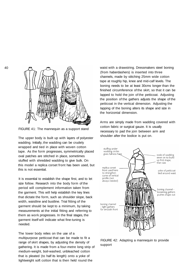

FIGURE 41: The mannequin as a support stand

The upper body is built up with layers of polyester wadding. Initially, the wadding can be crudely wrapped and tied in place with woven cotton tape. As the form progresses, symmetrically placed oval patches are stitched in place, sometimes stuffed with shredded wadding to give bulk. On this model a replica corset front has been used, but this is not essential.

It is essential to establish the shape first, and to let size follow. Research into the body form of the period will complement information taken from the garment. This will help establish the key lines that dictate the form, such as shoulder slope, back width, waistline and bustline. Trial fitting of the garment should be kept to a minimum, by taking measurements at the initial fitting and referring to them as work progresses. In the final stages, the garment itself will indicate what fine-tuning is needed.

The lower body relies on the use of a multipurpose petticoat that can be made to fit a range of skirt shapes, by adjusting the density of gathering. It is made from a four-metre long strip of medium-weight, boil-washed, unbleached cotton that is pleated (to half its length) onto a yoke of lightweight soft cotton that is then held round the

waist with a drawstring. Dressmakers steel boning (from haberdashers) is inserted into three channels, made by stitching 25mm wide cotton tape at roughly hip, knee and mid-calf levels. The boning needs to be at least 30cms longer than the finished circumference of the skirt, so that it can be lapped to hold the join of the petticoat. Adjusting the position of the gathers adjusts the shape of the petticoat in the vertical dimension. Adjusting the lapping of the boning alters its shape and size in the horizontal dimension.

Arms are simply made from wadding covered with cotton fabric or surgical gauze. It is usually necessary to pad the join between arm and shoulder after the bodice is put on.



FIGURE 42: Adapting a mannequin to provide support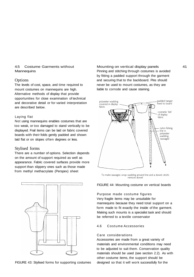#### 4.5 Costume Garments without **Mannequins**

#### **Options**

The levels of cost, space, and time required to mount costumes on mannequins are high. Alternative methods of display that provide opportunities for close examination of technical and decorative detail or for varied interpretation are described below.

#### Laying flat

Not using mannequins enables costumes that are too weak, or too damaged to stand vertically to be displayed. Frail items can be laid on fabric covered boards with their folds gently padded and shown laid flat or on slopes often degrees or less.

#### Stylised forms

There are a number of options. Selection depends on the amount of support required as well as appearance. Fabric covered surfaces provide more support than slippery ones such as those made from methyl methacrylate (Perspex) sheet



FIGURE 43: Stylised forms for supporting costumes

Mounting on vertical display panels 41 Pinning and stitching through costumes is avoided by fitting a padded support through the garment and securing that to the backboard. Pins should never be used to mount costumes, as they are liable to corrode and cause staining.



To make sausages: wrap wadding around line and a dowel; stitch; remove dowel

#### FIGURE 44: Mounting costume on vertical boards

Purpose made costume figures Very fragile items may be unsuitable for mannequins because they need total support on a form made to fit exactly the inside of the garment. Making such mounts is a specialist task and should be referred to a textile conservator

#### 4.6 Costume Accessories

#### Care considerations

Accessories are made from a great variety of materials and environmental conditions may need to be adjusted to suit them. Conservation quality materials should be used (see section 2.2). As with other costume items, the support should be designed so that it will work successfully for the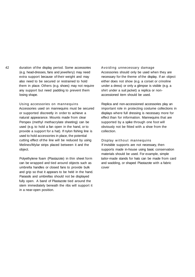42 duration of the display period. Some accessories (e.g. head-dresses, fans and jewellery) may need extra support because of their weight and may also need to be secured or restrained to hold them in place. Others (e.g. shoes) may not require any support but need padding to prevent them losing shape.

> Using accessories on mannequins Accessories used on mannequins must be secured or supported discreetly in order to achieve a natural appearance. Mounts made from clear Perspex (methyl methacrylate sheeting) can be used (e.g. to hold a fan open in the hand, or to provide a support for a hat). If nylon fishing line is used to hold accessories in place, the potential cutting effect of the line will be reduced by using Melinex/Mylar strips placed between it and the object.

Polyethylene foam (Plastazote) in thin sheet form can be wrapped and tied around objects such as umbrella handles or closed fans to provide bulk and grip so that it appears to be held in the hand. Parasols and umbrellas should not be displayed fully open. A band of Plastazote tied around the stem immediately beneath the ribs will support it in a near-open position.

#### Avoiding unnecessary damage

Accessories should only be used when they are necessary for the theme of the display. If an object either does not show (e.g. a corset or crinoline under a dress) or only a glimpse is visible (e.g. a shirt under a suit jacket) a replica or nonaccessioned item should be used.

Replica and non-accessioned accessories play an important role in protecting costume collections in displays where full dressing is necessary more for effect than for information. Mannequins that are supported by a spike through one foot will obviously not be fitted with a shoe from the collection.

#### Display without mannequins

If invisible supports are not necessary, then supports made in-house using basic conservation materials should be used. For example, simple tailor-made stands for hats can be made from card and wadding, or shaped Plastazote with a fabric cover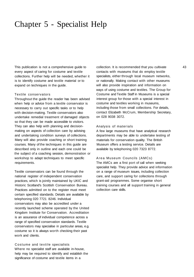### Chapter 5 - Specialist Help

This publication is not a comprehensive guide to every aspect of caring for costume and textile collections. Further help will be needed, whether it is to identify costume and textile material or to expand on techniques in the guide.

#### Textile conservators

Throughout the guide the reader has been advised when help or advice from a textile conservator is necessary to carry out specific tasks or to help with decision-making. Textile conservators also undertake remedial treatment of damaged objects so that they can be made accessible to visitors. They can also help with planning and decisionmaking on aspects of collection care by advising and undertaking condition surveys of collections. Many will also provide coaching or short training courses. Many of the techniques in this guide are described only in outline and each one could be the subject of a coaching session, demonstration or workshop to adapt techniques to meet specific requirements.

Textile conservators can be found through the national register of independent conservation practices, which is jointly maintained by UKIC and Historic Scotland's Scottish Conservation Bureau. Practices admitted on to the register must meet certain specified standards. Details are available by telephoning 020 7721 8246. Individual conservators may also be accredited under a recently launched scheme operated by the United Kingdom Institute for Conservation. Accreditation is an assurance of individual competence across a range of specified conservation standards. Textile conservators may specialise in particular areas, e.g. costume so it is always worth checking their past work and clients.

Costume and textile specialists Where no specialist staff are available in-house, help may be required to identify and establish the significance of costume and textile items in a

collection. It is recommended that you cultivate 43 contacts with museums that do employ textile specialists, either through local museum networks, or nationally. Making contact with other museums will also provide inspiration and information on ways of using costume and textiles. The Group for Costume and Textile Staff in Museums is a special interest group for those with a special interest in costume and textiles working in museums, including those from small collections. For details, contact Elizabeth McCrum, Membership Secretary, on 028 9038 3072.

#### Analysis of materials

A few large museums that have analytical research departments may be able to undertake testing of materials for conservation quality. The British Museum offers a testing service. Details are available by telephoning 020 7323 8772.

#### Area Museum Councils (AMCs)

The AMCs are a first port of call when seeking specialist help. They provide advice and information on a range of museum issues, including collection care, and support caring for collections through grant-aid programmes. Some organise short training courses and all support training in general collection care skills.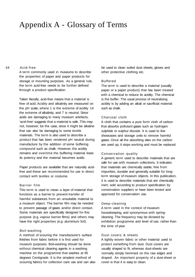### Appendix A - Glossary of Terms

#### 44 Acid-free

A term commonly used in museums to describe the properties of paper and paper products for storage or mounting purposes. As a general rule, the term acid-free needs to be further defined through a product specification.

Taken literally, acid-free means that a material is free of acid. Acidity and alkalinity are measured on the pH scale, where 1 is the extreme of acidity 14 the extreme of alkalinity, and 7 is neutral. Since acids are damaging to many museum artefacts, 'acid-free' suggests that a material is safe. This may not, however; be the case, since it might be alkaline that can also be damaging to some textile materials. The term is also used to describe a product that has been rendered pH neutral during manufacture by the addition of some buffering compound such as chalk. However; the acidity remains and overtime the buffering material loses its potency and the material becomes acidic.

Paper products are available that are naturally acidfree and these are recommended for use in direct contact with textiles or costume.

#### Barrier film

This term is used to mean a layer of material that functions as a barrier to prevent transfer of harmful substances from an unsuitable material to a museum object. The barrier film may be needed to prevent passage of gases and/or direct contact. Some materials are specifically designed for this purpose (e.g. vapour barrier films) and others may have the right properties (e.g. aluminium foil).

#### Boil-washing

A method of scouring the manufacturer's surface finishes from fabric before it is first used for museum purposes. Boil-washing should be done without chemical cleaning agents in a washing machine on the programme that washes at 95 degrees Centigrade. It is the simplest method of scouring fabrics for collection care use and can also be used to clean soiled dust sheets, gloves and other protective clothing etc.

#### Buffered

The term is used to describe a material (usually paper or a paper product) that has been treated with a chemical to reduce its acidity. The chemical is the buffer. The usual process of neutralising acidity is by adding an alkali or sacrificial material such as chalk.

#### Charcoal cloth

A cloth that contains a pure form cloth of carbon that absorbs pollutant gases such as hydrogen sulphide or sulphur dioxide. It is used to line showcases and storage units to remove harmful gases. Once all the absorbing sites on the carbon are used up, it stops working and must be replaced.

#### Conservation quality

A generic term used to describe materials that are safe for use with museum collections. It indicates that materials are chemically stable, free from impurities, durable and generally suitable for longterm storage of museum objects. In this publication, it is used to describe materials that are chemically inert, sold according to product specification by conservation suppliers or have been tested and approved for conservation use.

#### Deep-cleaning

A term used in the context of museum housekeeping, and synonymous with springcleaning. The frequency may be dictated by exhibition programme and level of use, rather than the time of year

#### Dust covers & sheets

A tightly woven fabric or other material used to protect something from dust. Dust covers are usually shaped to fit, whereas dust-sheets are normally simply hemmed on the raw edges and draped. An important property of a dust-sheet or cover is that it is easy to clean.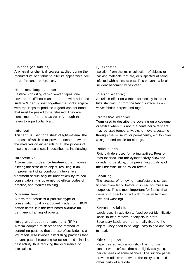#### Finishes (on fabrics)

A physical or chemical process applied during the manufacture of a fabric to alter its appearance, feel or performance before sale.

#### Hook-and-loop fastener

Fastener consisting of two woven tapes, one covered in stiff hooks and the other with a looped surface. When pushed together the hooks engage with the loops to produce a good contact bond that must be peeled to be released. They are sometimes referred to as Velcro', though this refers to a particular brand.

#### Interleaf

This term is used for a sheet of light material, the purpose of which is to prevent contact between the materials on either side of it. The process of inserting these sheets is described as interleaving.

#### Interventive

A term used to describe treatment that involves altering the state of an object, resulting in an improvement of its condition. Interventive treatment should only be undertaken by trained conservators. It is governed by ethical codes of practice, and requires training.

#### Museum board

A term that describes a particular type of conservation quality cardboard made from 100% cotton fibres. It is the best board available for permanent framing of objects.

Integrated pest management (IPM) A term adopted to describe the method of controlling pests so that the use of pesticides is a last resort. IPM involves establishing practices that prevent pests threatening collections and minimise pest activity, thus reducing the occurrence of infestations.

#### Quarantine 45

Isolation from the main collection of objects or packing materials that are, or suspected of being, infested with an insect pest. This prevents a local incident becoming widespread.

#### Pile (on a fabric)

A surface effect on a fabric formed by loops or tufts standing up from the fabric surface, as on velvet fabrics, carpets and rugs.

#### Protective wrapper

Term used to describe the covering on a costume or textile when it is not in a container Wrappers may be used temporarily, e.g. to move a costume through the museum, or permanently, e.g. to cover a large rolled textile for storage.

#### Roller tubes

Rigid cylinders used for rolling textiles. Poles or rods inserted into the cylinder cavity allow the cylinder to be slung, thus preventing crushing of the underside of the rolled textile.

#### Scouring

The process of removing manufacturer's surface finishes from fabric before it is used for museum purposes. This is most important for fabrics that come into direct contact with museum textiles (see boil-washing).

#### Secondary labels

Labels used in addition to fixed object identification labels, to help retrieval of objects in store. Secondary labels are not normally fixed to the object. They need to be large, easy to find and easy to read.

#### Silicone paper

Paper treated with a non-stick finish for use in contact with surfaces that are slightly sticky, e.g. the painted areas of some banners. The silicone paper prevents adhesion between the tacky areas and other parts of a textile.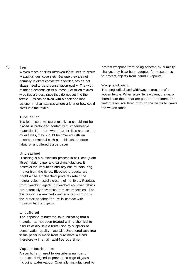#### 46 Ties

Woven tapes or strips of woven fabric used to secure wrappings, dust covers etc. Because they are not normally in direct contact with textiles, ties do not always need to be of conservation quality. The width of the tie depends on its purpose. For rolled textiles, wide ties are best, since they do not cut into the textile. Ties can be fixed with a hook-and-loop fastener in circumstances where a knot or bow could press into the textile.

#### Tube cover

Textiles absorb moisture readily so should not be placed in prolonged contact with impermeable materials. Therefore when barrier films are used on roller tubes, they should be covered with an absorbent material such as unbleached cotton fabric or unbuffered tissue paper

#### Unbleached

Bleaching is a purification process in cellulose (plant fibres) fabric, paper and card manufacture. It destroys the impurities and any natural colouring matter from the fibres. Bleached products are bright white. Unbleached products retain the natural colour; usually cream, of the fibres. Residues from bleaching agents in bleached and dyed fabrics are potentially hazardous to museum textiles. For this reason, unbleached - and scoured - cotton is the preferred fabric for use in contact with museum textile objects.

#### Unbuffered

The opposite of buffered, thus indicating that a material has not been treated with a chemical to alter its acidity. It is a term used by suppliers of conservation quality materials. Unbuffered acid-free tissue paper is made from pure materials and therefore will remain acid-free overtime.

#### Vapour barrier film

A specific term used to describe a number of products designed to prevent passage of gases, including water vapour Originally manufactured to protect weapons from being affected by humidity change, they have been adopted for museum use to protect objects from harmful vapours.

#### Warp and weft

The longitudinal and widthways structure of a woven textile. When a textile is woven, the warp threads are those that are put onto the loom. The weft threads are laced through the warps to create the woven fabric.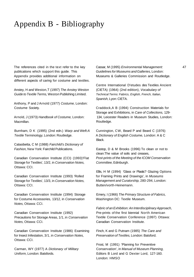### Appendix B - Bibliography

The references cited in the text refer to the key publications which support this guide. This Appendix provides additional information on different aspects of caring for costume and textiles.

Anstey, H and Weston,T (1997) The Anstey Weston Guide to Textile Terms, Weston Publishing Limited.

Anthony, P and J Arnold (1977) Costume, London: Costume Society.

Arnold, J (1973) Handbook of Costume, London: Macmillan.

Burnham, D K (1995) (2nd edn.) Warp and Weft:A Textile Terminology, London: Routledge.

Calasibetta, C M (1988) Fairchild's Dictionary of Fashion, New York: Fairchild Publications.

Canadian Conservation Institute (CCI) (1993)'Flat Storage for Textiles', 13/2, in Conservation Notes, Ottawa: CCI.

Canadian Conservation Institute (1993) 'Rolled Storage for Textiles', 13/3, in Conservation Notes, Ottawa: CCI.

Canadian Conservation Institute (1994) Storage for Costume Accessories, 13/12, in Conservation Notes, Ottawa: CCI.

Canadian Conservation Institute (1992) Precautions for Storage Areas, 1/1, in Conservation Notes, Ottawa: CCI.

Canadian Conservation Institute (1986) Examining for Insect Infestation, 3/1, in Conservation Notes, Ottawa: CCI.

Carman, WY (1977) A Dictionary of Military Uniform, London: Batsfords.

Cassar, M (1995) Environmental Management: 47 Guidelines for Museums and Galleries, London: Museums & Galleries Commission and Routledge.

Centre International D'etudes des Textiles Ancient (CIETA) (1964) (2nd edition), Vocabulary of Technical Terms: Fabrics, English, French, Italian, Spanish, Lyon: CIETA.

Craddock,A B (1994) Construction Materials for Storage and Exhibitions, in Care of Collections, 129- 134, Leicester Readers in Museum Studies, London: Routledge.

Cunnington, CW, Beard P and Beard C (1976) A Dictionary of English Costume, London: A & C Black.

Eastop, D & M Brooks (1996) To clean or not to clean:The value of soils and creases, Post-prints of the Meeting of the ICOM Conservation Committee, Edinburgh.

Ellis, H M (1994) 'Glass or Plastic? Glazing Options for Framing Prints and Drawings', in Museums Management and Curatorship, 280-294, London: Butten/vorth-Heinemann.

Emery, I (1966) The Primary Structure of Fabrics, Washington DC: Textile Museum.

Fabric of an Exhibition: An Interdisciplinary Approach, Pre-prints of the first biennial North American Textile Conservation Conference (1997) Ottawa: Canadian Conservation Institute.

Finch, K and G Putnam (1985) The Care and Preservation of Textiles, London: Batsford.

Frost, M (1991) 'Planning for Preventive Conservation', in Manual of Museum Planning, Editors B Lord and G Dexter Lord, 127-160. London: HMSO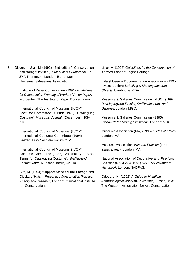48 Glover, Jean M (1992) (2nd edition) 'Conservation and storage: textiles', in Manual of Curatorship, Ed. JMA Thompson, London: Butterworth-Heinemann/Museums Association.

> Institute of Paper Conservation (1991) Guidelines for Conservation Framing of Works of Art on Paper, Worcester: The Institute of Paper Conservation.

International Council of Museums (ICOM) Costume Committee (A Buck, 1976) 'Cataloguing Costume', Museums Journal, (December): 109- 110.

International Council of Museums (ICOM) International Costume Committee (1994) Guidelines for Costume, Paris: ICOM.

International Council of Museums (ICOM) Costume Committee (1982) Vocabulary of Basic Terms for Cataloguing Costume', Waffen-und Kostumkunde, Munchen, Berlin, 24:1 10-152.

Kite, M (1994) 'Support Stand for the Storage and Display of Hats' in Preventive Conservation Practice, Theory and Research, London: International Institute for Conservation.

Lister; A (1996) Guidelines for the Conservation of Textiles, London: English Heritage.

mda (Museum Documentation Association) (1995, revised edition) Labelling & Marking Museum Objects, Cambridge: MDA.

Museums & Galleries Commission (MGC) (1997) Developing and Training Staff in Museums and Galleries, London: MGC.

Museums & Galleries Commission (1995) Standards for Touring Exhibitions, London: MGC.

Museums Association (MA) (1995) Codes of Ethics, London: MA.

Museums Association Museum Practice (three issues a year), London: MA.

National Association of Decorative and Fine Arts Societies (NADFAS) (1991) NADFAS Volunteers Handbook, London: NADFAS.

Odegard, N (1992) A Guide to Handling Anthropological Museum Collections, Tucson, USA: The Western Association for Art Conservation.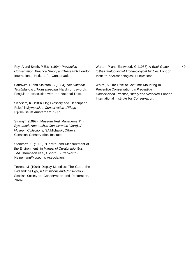Roy, A and Smith, P Eds. (1994) Preventive Conservation: Practice Theory and Research, London: International Institute for Conservation.

Sandwith, H and Stainton, S (1984) The National Trust Manual of Housekeeping, Hardmondsworth: Penguin in association with the National Trust.

Sierksam, K (1980) 'Flag Glossary and Description Rules', in Symposium Conservation of Flags, Rijksmuseum Amsterdam 1977.

StrangT (1992) 'Museum Pest Management', in Systematic Approach to Conservation (Care) of Museum Collections, SA Michalski, Ottawa: Canadian Conservation Institute.

Staniforth, S (1992) 'Control and Measurement of the Environment', in Manual of Curatorship, Eds. JMA Thompson et al, Oxford: Butterworth-Heinemann/Museums Association.

TetreaultJ (1994) Display Materials: The Good, the Bad and the Ugly, in Exhibitions and Conservation, Scottish Society for Conservation and Restoration, 79-89.

Walton P and Eastwood, G (1988) A Brief Guide 49 to the Cataloguing of Archaeological Textiles, London: Institute of Archaeological Publications.

White, S The Role of Costume Mounting in Preventive Conservation', in Preventive Conservation, Practice,Theory and Research, London: International Institute for Conservation.